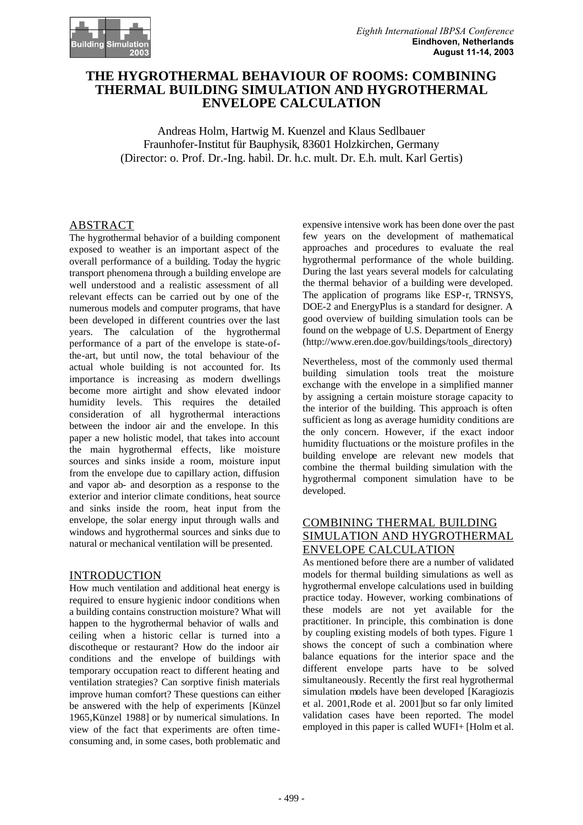

# **THE HYGROTHERMAL BEHAVIOUR OF ROOMS: COMBINING THERMAL BUILDING SIMULATION AND HYGROTHERMAL ENVELOPE CALCULATION**

Andreas Holm, Hartwig M. Kuenzel and Klaus Sedlbauer Fraunhofer-Institut für Bauphysik, 83601 Holzkirchen, Germany (Director: o. Prof. Dr.-Ing. habil. Dr. h.c. mult. Dr. E.h. mult. Karl Gertis)

## ABSTRACT

The hygrothermal behavior of a building component exposed to weather is an important aspect of the overall performance of a building. Today the hygric transport phenomena through a building envelope are well understood and a realistic assessment of all relevant effects can be carried out by one of the numerous models and computer programs, that have been developed in different countries over the last years. The calculation of the hygrothermal performance of a part of the envelope is state-ofthe-art, but until now, the total behaviour of the actual whole building is not accounted for. Its importance is increasing as modern dwellings become more airtight and show elevated indoor humidity levels. This requires the detailed consideration of all hygrothermal interactions between the indoor air and the envelope. In this paper a new holistic model, that takes into account the main hygrothermal effects, like moisture sources and sinks inside a room, moisture input from the envelope due to capillary action, diffusion and vapor ab- and desorption as a response to the exterior and interior climate conditions, heat source and sinks inside the room, heat input from the envelope, the solar energy input through walls and windows and hygrothermal sources and sinks due to natural or mechanical ventilation will be presented.

## INTRODUCTION

How much ventilation and additional heat energy is required to ensure hygienic indoor conditions when a building contains construction moisture? What will happen to the hygrothermal behavior of walls and ceiling when a historic cellar is turned into a discotheque or restaurant? How do the indoor air conditions and the envelope of buildings with temporary occupation react to different heating and ventilation strategies? Can sorptive finish materials improve human comfort? These questions can either be answered with the help of experiments [Künzel 1965,Künzel 1988] or by numerical simulations. In view of the fact that experiments are often timeconsuming and, in some cases, both problematic and

expensive intensive work has been done over the past few years on the development of mathematical approaches and procedures to evaluate the real hygrothermal performance of the whole building. During the last years several models for calculating the thermal behavior of a building were developed. The application of programs like ESP-r, TRNSYS, DOE-2 and EnergyPlus is a standard for designer. A good overview of building simulation tools can be found on the webpage of U.S. Department of Energy (http://www.eren.doe.gov/buildings/tools\_directory)

Nevertheless, most of the commonly used thermal building simulation tools treat the moisture exchange with the envelope in a simplified manner by assigning a certain moisture storage capacity to the interior of the building. This approach is often sufficient as long as average humidity conditions are the only concern. However, if the exact indoor humidity fluctuations or the moisture profiles in the building envelope are relevant new models that combine the thermal building simulation with the hygrothermal component simulation have to be developed.

# COMBINING THERMAL BUILDING SIMULATION AND HYGROTHERMAL ENVELOPE CALCULATION

As mentioned before there are a number of validated models for thermal building simulations as well as hygrothermal envelope calculations used in building practice today. However, working combinations of these models are not yet available for the practitioner. In principle, this combination is done by coupling existing models of both types. Figure 1 shows the concept of such a combination where balance equations for the interior space and the different envelope parts have to be solved simultaneously. Recently the first real hygrothermal simulation models have been developed [Karagiozis et al. 2001,Rode et al. 2001]but so far only limited validation cases have been reported. The model employed in this paper is called WUFI+ [Holm et al.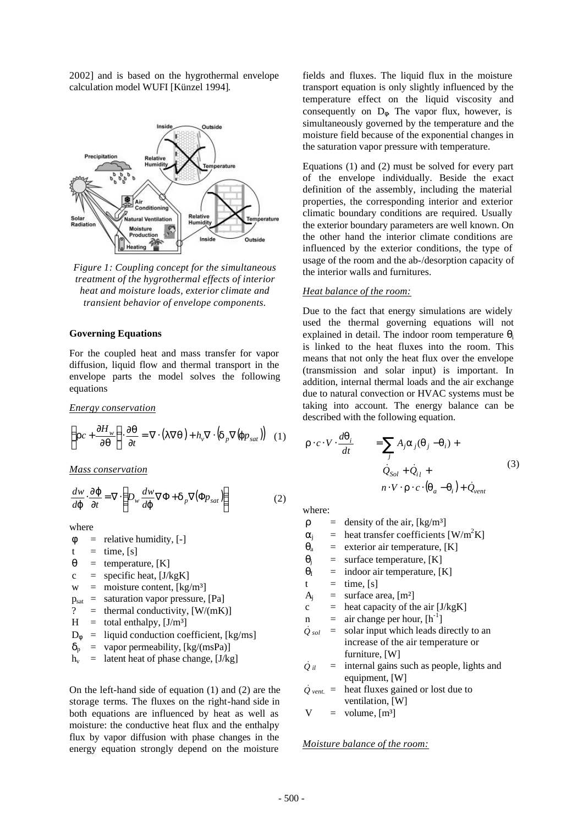2002] and is based on the hygrothermal envelope calculation model WUFI [Künzel 1994].



*Figure 1: Coupling concept for the simultaneous treatment of the hygrothermal effects of interior heat and moisture loads, exterior climate and transient behavior of envelope components.*

#### **Governing Equations**

For the coupled heat and mass transfer for vapor diffusion, liquid flow and thermal transport in the envelope parts the model solves the following equations

*Energy conservation*

$$
\left( rc + \frac{\P H_w}{\P q} \right) \cdot \frac{\P q}{\P t} = \nabla \cdot (I \nabla q) + h_v \nabla \cdot \left( d_p \nabla (j p_{sat}) \right) \tag{1}
$$

*Mass conservation*

$$
\frac{dw}{d\mathbf{j}} \cdot \frac{\mathbf{D} \mathbf{j}}{\mathbf{f}t} = \nabla \cdot \left( D_w \frac{dw}{d\mathbf{j}} \nabla \Phi + \mathbf{d}_p \nabla (\Phi p_{sat}) \right) \tag{2}
$$

where

- $\phi$  = relative humidity, [-]
- $t = time, [s]$
- $\theta$  = temperature, [K]
- $c =$  specific heat, [J/kgK]
- $w =$  moisture content,  $\lceil \text{kg/m}^3 \rceil$
- $p_{\text{sat}}$  = saturation vapor pressure, [Pa]
- ? = thermal conductivity,  $[W/(mK)]$
- $H =$  total enthalpy, [J/m<sup>3</sup>]
- $D_{\phi}$  = liquid conduction coefficient, [kg/ms]
- $\delta_p$  = vapor permeability, [kg/(msPa)]
- $h_v$  = latent heat of phase change, [J/kg]

On the left-hand side of equation (1) and (2) are the storage terms. The fluxes on the right-hand side in both equations are influenced by heat as well as moisture: the conductive heat flux and the enthalpy flux by vapor diffusion with phase changes in the energy equation strongly depend on the moisture

fields and fluxes. The liquid flux in the moisture transport equation is only slightly influenced by the temperature effect on the liquid viscosity and consequently on  $D_{\phi}$ . The vapor flux, however, is simultaneously governed by the temperature and the moisture field because of the exponential changes in the saturation vapor pressure with temperature.

Equations (1) and (2) must be solved for every part of the envelope individually. Beside the exact definition of the assembly, including the material properties, the corresponding interior and exterior climatic boundary conditions are required. Usually the exterior boundary parameters are well known. On the other hand the interior climate conditions are influenced by the exterior conditions, the type of usage of the room and the ab-/desorption capacity of the interior walls and furnitures.

#### *Heat balance of the room:*

Due to the fact that energy simulations are widely used the thermal governing equations will not explained in detail. The indoor room temperature  $\theta_i$ is linked to the heat fluxes into the room. This means that not only the heat flux over the envelope (transmission and solar input) is important. In addition, internal thermal loads and the air exchange due to natural convection or HVAC systems must be taking into account. The energy balance can be described with the following equation.

$$
\mathbf{r} \cdot c \cdot V \cdot \frac{d\mathbf{q}_i}{dt} = \sum_j A_j \mathbf{a}_j (\mathbf{q}_j - \mathbf{q}_i) +
$$
  

$$
\dot{Q}_{Sol} + \dot{Q}_{i l} +
$$
  

$$
n \cdot V \cdot \mathbf{r} \cdot c \cdot (\mathbf{q}_a - \mathbf{q}_i) + \dot{Q}_{vent}
$$
 (3)

where:

 $\rho$  = density of the air, [kg/m<sup>3</sup>]

- $\alpha_i$  = heat transfer coefficients [W/m<sup>2</sup>K]
- $\theta$ <sub>a</sub> = exterior air temperature, [K]
- $\theta_i$  = surface temperature, [K]
- $\theta$ <sub>I</sub> = indoor air temperature, [K]
- $t = \text{time}, \text{[s]}$
- $A_i$  = surface area, [m<sup>2</sup>]
- $c =$  heat capacity of the air [J/kgK]
- $n =$  air change per hour,  $[h^{-1}]$
- *Q*& *sol* = solar input which leads directly to an increase of the air temperature or furniture, [W]
- $Q_{il}$ = internal gains such as people, lights and equipment, [W]
- $\dot{Q}$ <sub>vent.</sub> = heat fluxes gained or lost due to ventilation, [W]
- $V = volume, [m<sup>3</sup>]$

### *Moisture balance of the room:*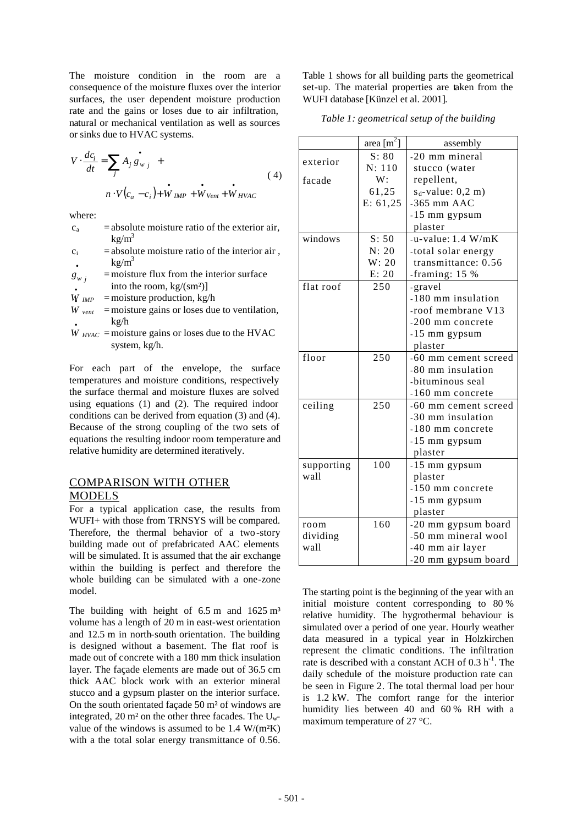The moisture condition in the room are a consequence of the moisture fluxes over the interior surfaces, the user dependent moisture production rate and the gains or loses due to air infiltration, natural or mechanical ventilation as well as sources or sinks due to HVAC systems.

$$
V \cdot \frac{dc_i}{dt} = \sum_j A_j g_{wj} +
$$
  
\n
$$
n \cdot V(c_a - c_i) + \mathbf{W}_{IMP} + \mathbf{W}_{Vent} + \mathbf{W}_{HVAC}
$$
\n(4)

where:

- $c_a$  = absolute moisture ratio of the exterior air,  $k\frac{g}{m^3}$
- $c_i$  = absolute moisture ratio of the interior air,  $kg/m<sup>3</sup>$ •

 $g_{w}$ <sub>*j*</sub> =moisture flux from the interior surface into the room, kg/(sm<sup>2</sup>)]<br> $\frac{W}{W_{IMP}}$  = moisture production, kg/

- $=$  moisture production, kg/h
- $W_{\text{vent}}$  =moisture gains or loses due to ventilation,  $kg/h$
- $\dot{W}_{HVAC}$  =moisture gains or loses due to the HVAC system, kg/h.

For each part of the envelope, the surface temperatures and moisture conditions, respectively the surface thermal and moisture fluxes are solved using equations (1) and (2). The required indoor conditions can be derived from equation (3) and (4). Because of the strong coupling of the two sets of equations the resulting indoor room temperature and relative humidity are determined iteratively.

## COMPARISON WITH OTHER MODELS

For a typical application case, the results from WUFI+ with those from TRNSYS will be compared. Therefore, the thermal behavior of a two-story building made out of prefabricated AAC elements will be simulated. It is assumed that the air exchange within the building is perfect and therefore the whole building can be simulated with a one-zone model.

The building with height of  $6.5 \text{ m}$  and  $1625 \text{ m}^3$ volume has a length of 20 m in east-west orientation and 12.5 m in north-south orientation. The building is designed without a basement. The flat roof is made out of concrete with a 180 mm thick insulation layer. The façade elements are made out of 36.5 cm thick AAC block work with an exterior mineral stucco and a gypsum plaster on the interior surface. On the south orientated façade 50 m² of windows are integrated, 20 m<sup>2</sup> on the other three facades. The  $U_w$ value of the windows is assumed to be  $1.4 \text{ W/(m2K)}$ with a the total solar energy transmittance of 0.56. Table 1 shows for all building parts the geometrical set-up. The material properties are taken from the WUFI database [Künzel et al. 2001].

*Table 1: geometrical setup of the building*

|            | $\frac{\text{area}[m^2]}{m}$ | assembly             |
|------------|------------------------------|----------------------|
| exterior   | S: 80                        | -20 mm mineral       |
|            | N: 110                       | stucco (water        |
| facade     | W:                           | repellent,           |
|            | 61,25                        | $s_d$ -value: 0,2 m) |
|            | E: 61, 25                    | $-365$ mm AAC        |
|            |                              | -15 mm gypsum        |
|            |                              | plaster              |
| windows    | S: 50                        | -u-value: $1.4 W/mK$ |
|            | N: 20                        | -total solar energy  |
|            | W: 20                        | transmittance: 0.56  |
|            | E: 20                        | -framing: 15 %       |
| flat roof  | 250                          | -gravel              |
|            |                              | -180 mm insulation   |
|            |                              | -roof membrane V13   |
|            |                              | -200 mm concrete     |
|            |                              | -15 mm gypsum        |
|            |                              | plaster              |
| floor      | 250                          | -60 mm cement screed |
|            |                              | -80 mm insulation    |
|            |                              | -bituminous seal     |
|            |                              | $-160$ mm concrete   |
| ceiling    | 250                          | -60 mm cement screed |
|            |                              | -30 mm insulation    |
|            |                              | -180 mm concrete     |
|            |                              | -15 mm gypsum        |
|            |                              | plaster              |
| supporting | 100                          | -15 mm gypsum        |
| wall       |                              | plaster              |
|            |                              | -150 mm concrete     |
|            |                              | -15 mm gypsum        |
|            |                              | plaster              |
| room       | 160                          | -20 mm gypsum board  |
| dividing   |                              | -50 mm mineral wool  |
| wall       |                              | -40 mm air layer     |
|            |                              | -20 mm gypsum board  |

The starting point is the beginning of the year with an initial moisture content corresponding to 80 % relative humidity. The hygrothermal behaviour is simulated over a period of one year. Hourly weather data measured in a typical year in Holzkirchen represent the climatic conditions. The infiltration rate is described with a constant ACH of  $0.3 h^{-1}$ . The daily schedule of the moisture production rate can be seen in Figure 2. The total thermal load per hour is 1.2 kW. The comfort range for the interior humidity lies between 40 and 60 % RH with a maximum temperature of 27 °C.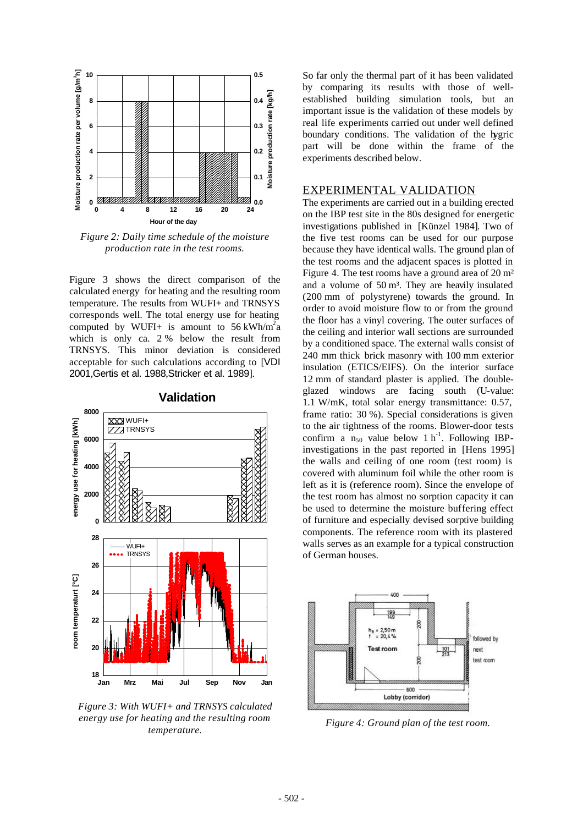

*Figure 2: Daily time schedule of the moisture production rate in the test rooms.*

Figure 3 shows the direct comparison of the calculated energy for heating and the resulting room temperature. The results from WUFI+ and TRNSYS corresponds well. The total energy use for heating computed by WUFI+ is amount to 56 kWh/m<sup>2</sup>a which is only ca. 2 % below the result from TRNSYS. This minor deviation is considered acceptable for such calculations according to [VDI 2001,Gertis et al. 1988,Stricker et al. 1989].



**Validation**

*Figure 3: With WUFI+ and TRNSYS calculated energy use for heating and the resulting room temperature.*

So far only the thermal part of it has been validated by comparing its results with those of wellestablished building simulation tools, but an important issue is the validation of these models by real life experiments carried out under well defined boundary conditions. The validation of the hygric part will be done within the frame of the experiments described below.

## EXPERIMENTAL VALIDATION

The experiments are carried out in a building erected on the IBP test site in the 80s designed for energetic investigations published in [Künzel 1984]. Two of the five test rooms can be used for our purpose because they have identical walls. The ground plan of the test rooms and the adjacent spaces is plotted in Figure 4. The test rooms have a ground area of 20 m² and a volume of  $50 \text{ m}^3$ . They are heavily insulated (200 mm of polystyrene) towards the ground. In order to avoid moisture flow to or from the ground the floor has a vinyl covering. The outer surfaces of the ceiling and interior wall sections are surrounded by a conditioned space. The external walls consist of 240 mm thick brick masonry with 100 mm exterior insulation (ETICS/EIFS). On the interior surface 12 mm of standard plaster is applied. The doubleglazed windows are facing south (U-value: 1.1 W/mK, total solar energy transmittance: 0.57, frame ratio: 30 %). Special considerations is given to the air tightness of the rooms. Blower-door tests confirm a  $n_{50}$  value below 1 h<sup>-1</sup>. Following IBPinvestigations in the past reported in [Hens 1995] the walls and ceiling of one room (test room) is covered with aluminum foil while the other room is left as it is (reference room). Since the envelope of the test room has almost no sorption capacity it can be used to determine the moisture buffering effect of furniture and especially devised sorptive building components. The reference room with its plastered walls serves as an example for a typical construction of German houses.



*Figure 4: Ground plan of the test room.*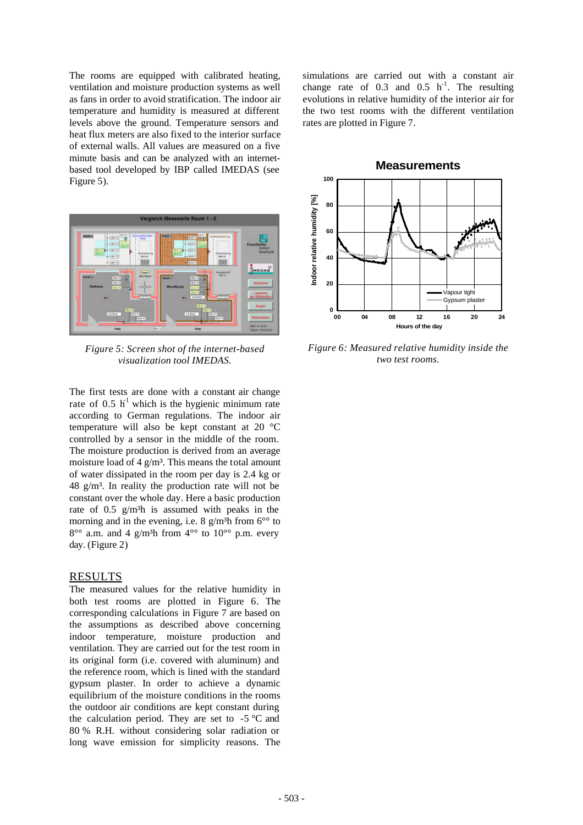The rooms are equipped with calibrated heating, ventilation and moisture production systems as well as fans in order to avoid stratification. The indoor air temperature and humidity is measured at different levels above the ground. Temperature sensors and heat flux meters are also fixed to the interior surface of external walls. All values are measured on a five minute basis and can be analyzed with an internetbased tool developed by IBP called IMEDAS (see Figure 5).



*Figure 5: Screen shot of the internet-based visualization tool IMEDAS.*

The first tests are done with a constant air change rate of 0.5  $h^{-1}$  which is the hygienic minimum rate according to German regulations. The indoor air temperature will also be kept constant at 20 °C controlled by a sensor in the middle of the room. The moisture production is derived from an average moisture load of  $4 \frac{\text{g}}{\text{m}^3}$ . This means the total amount of water dissipated in the room per day is 2.4 kg or  $48 \text{ g/m}^3$ . In reality the production rate will not be constant over the whole day. Here a basic production rate of  $0.5$  g/m<sup>3</sup>h is assumed with peaks in the morning and in the evening, i.e. 8 g/m<sup>3</sup>h from  $6^{\circ}$  to  $8^{\circ}$  a.m. and 4 g/m<sup>3</sup>h from  $4^{\circ}$  to  $10^{\circ}$  p.m. every day. (Figure 2)

#### RESULTS

The measured values for the relative humidity in both test rooms are plotted in Figure 6. The corresponding calculations in Figure 7 are based on the assumptions as described above concerning indoor temperature, moisture production and ventilation. They are carried out for the test room in its original form (i.e. covered with aluminum) and the reference room, which is lined with the standard gypsum plaster. In order to achieve a dynamic equilibrium of the moisture conditions in the rooms the outdoor air conditions are kept constant during the calculation period. They are set to  $-5$  °C and 80 % R.H. without considering solar radiation or long wave emission for simplicity reasons. The

simulations are carried out with a constant air change rate of 0.3 and 0.5  $h^{-1}$ . The resulting evolutions in relative humidity of the interior air for the two test rooms with the different ventilation rates are plotted in Figure 7.



*Figure 6: Measured relative humidity inside the two test rooms.*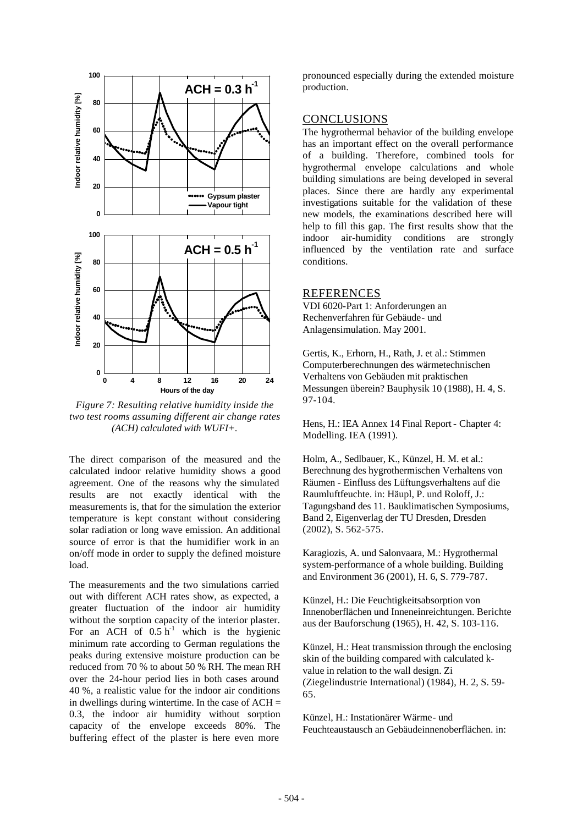

*Figure 7: Resulting relative humidity inside the two test rooms assuming different air change rates (ACH) calculated with WUFI+.*

The direct comparison of the measured and the calculated indoor relative humidity shows a good agreement. One of the reasons why the simulated results are not exactly identical with the measurements is, that for the simulation the exterior temperature is kept constant without considering solar radiation or long wave emission. An additional source of error is that the humidifier work in an on/off mode in order to supply the defined moisture load.

The measurements and the two simulations carried out with different ACH rates show, as expected, a greater fluctuation of the indoor air humidity without the sorption capacity of the interior plaster. For an ACH of  $0.5 h^{-1}$  which is the hygienic minimum rate according to German regulations the peaks during extensive moisture production can be reduced from 70 % to about 50 % RH. The mean RH over the 24-hour period lies in both cases around 40 %, a realistic value for the indoor air conditions in dwellings during wintertime. In the case of  $ACH =$ 0.3, the indoor air humidity without sorption capacity of the envelope exceeds 80%. The buffering effect of the plaster is here even more

pronounced especially during the extended moisture production.

## **CONCLUSIONS**

The hygrothermal behavior of the building envelope has an important effect on the overall performance of a building. Therefore, combined tools for hygrothermal envelope calculations and whole building simulations are being developed in several places. Since there are hardly any experimental investigations suitable for the validation of these new models, the examinations described here will help to fill this gap. The first results show that the indoor air-humidity conditions are strongly influenced by the ventilation rate and surface conditions.

#### REFERENCES

VDI 6020-Part 1: Anforderungen an Rechenverfahren für Gebäude- und Anlagensimulation. May 2001.

Gertis, K., Erhorn, H., Rath, J. et al.: Stimmen Computerberechnungen des wärmetechnischen Verhaltens von Gebäuden mit praktischen Messungen überein? Bauphysik 10 (1988), H. 4, S. 97-104.

Hens, H.: IEA Annex 14 Final Report - Chapter 4: Modelling. IEA (1991).

Holm, A., Sedlbauer, K., Künzel, H. M. et al.: Berechnung des hygrothermischen Verhaltens von Räumen - Einfluss des Lüftungsverhaltens auf die Raumluftfeuchte. in: Häupl, P. und Roloff, J.: Tagungsband des 11. Bauklimatischen Symposiums, Band 2, Eigenverlag der TU Dresden, Dresden (2002), S. 562-575.

Karagiozis, A. und Salonvaara, M.: Hygrothermal system-performance of a whole building. Building and Environment 36 (2001), H. 6, S. 779-787.

Künzel, H.: Die Feuchtigkeitsabsorption von Innenoberflächen und Inneneinreichtungen. Berichte aus der Bauforschung (1965), H. 42, S. 103-116.

Künzel, H.: Heat transmission through the enclosing skin of the building compared with calculated kvalue in relation to the wall design. Zi (Ziegelindustrie International) (1984), H. 2, S. 59- 65.

Künzel, H.: Instationärer Wärme- und Feuchteaustausch an Gebäudeinnenoberflächen. in: